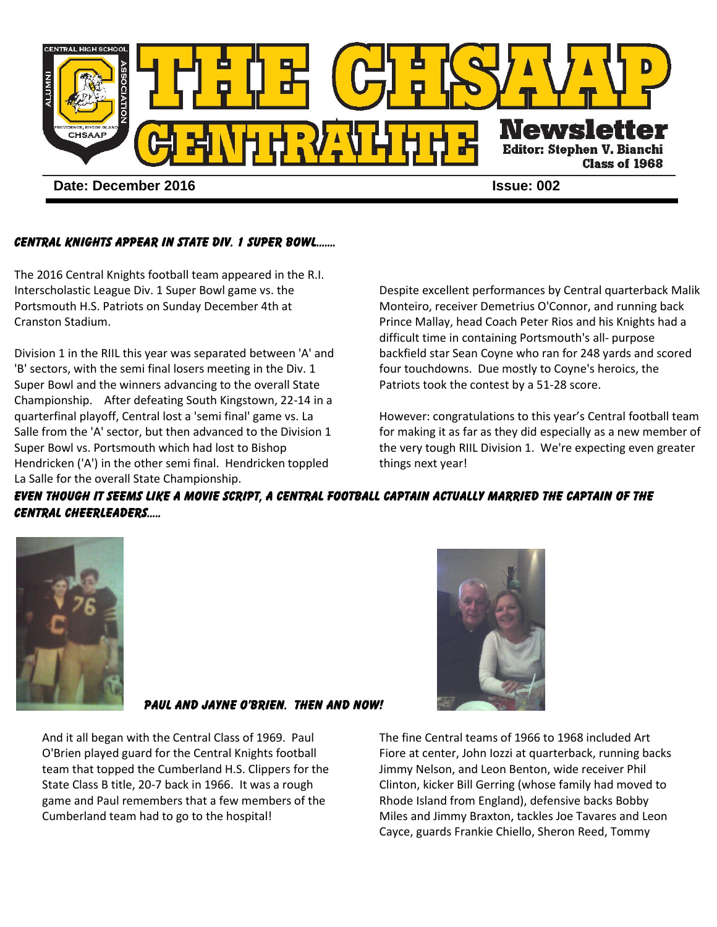

## CENTRAL KNIGHTS APPEAR IN STATE DIV. 1 SUPER BOWL…….

The 2016 Central Knights football team appeared in the R.I. Interscholastic League Div. 1 Super Bowl game vs. the Portsmouth H.S. Patriots on Sunday December 4th at Cranston Stadium.

Division 1 in the RIIL this year was separated between 'A' and 'B' sectors, with the semi final losers meeting in the Div. 1 Super Bowl and the winners advancing to the overall State Championship. After defeating South Kingstown, 22-14 in a quarterfinal playoff, Central lost a 'semi final' game vs. La Salle from the 'A' sector, but then advanced to the Division 1 Super Bowl vs. Portsmouth which had lost to Bishop Hendricken ('A') in the other semi final. Hendricken toppled La Salle for the overall State Championship.

Despite excellent performances by Central quarterback Malik Monteiro, receiver Demetrius O'Connor, and running back Prince Mallay, head Coach Peter Rios and his Knights had a difficult time in containing Portsmouth's all- purpose backfield star Sean Coyne who ran for 248 yards and scored four touchdowns. Due mostly to Coyne's heroics, the Patriots took the contest by a 51-28 score.

However: congratulations to this year's Central football team for making it as far as they did especially as a new member of the very tough RIIL Division 1. We're expecting even greater things next year!

EVEN THOUGH IT SEEMS LIKE A MOVIE SCRIPT, A CENTRAL FOOTBALL CAPTAIN ACTUALLY MARRIED THE CAPTAIN OF THE Central CHEERLEADERS…..



## Paul and Jayne O'Brien. Then and Now!

And it all began with the Central Class of 1969. Paul O'Brien played guard for the Central Knights football team that topped the Cumberland H.S. Clippers for the State Class B title, 20-7 back in 1966. It was a rough game and Paul remembers that a few members of the Cumberland team had to go to the hospital!



The fine Central teams of 1966 to 1968 included Art Fiore at center, John Iozzi at quarterback, running backs Jimmy Nelson, and Leon Benton, wide receiver Phil Clinton, kicker Bill Gerring (whose family had moved to Rhode Island from England), defensive backs Bobby Miles and Jimmy Braxton, tackles Joe Tavares and Leon Cayce, guards Frankie Chiello, Sheron Reed, Tommy